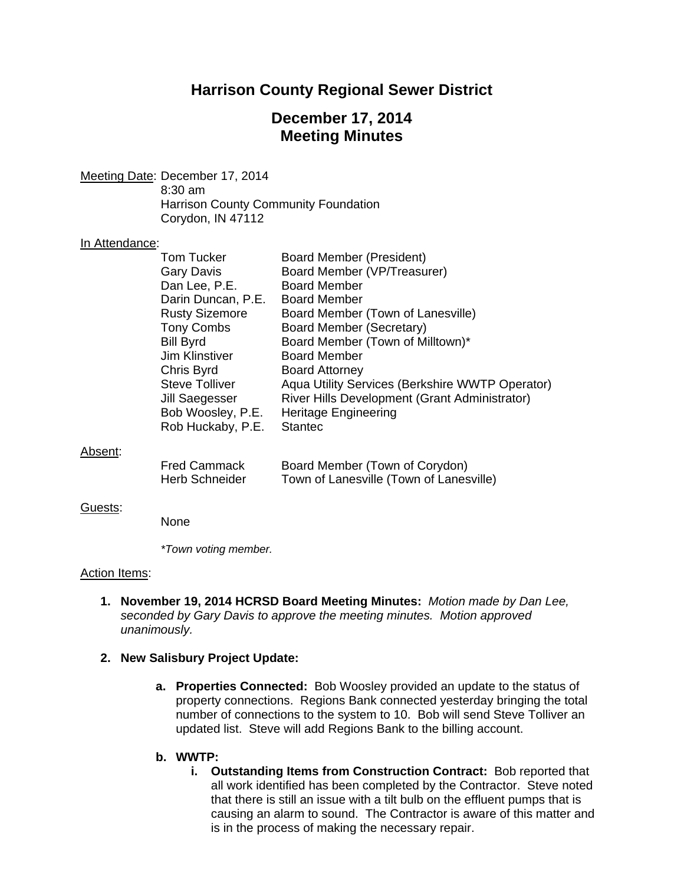# **Harrison County Regional Sewer District**

# **December 17, 2014 Meeting Minutes**

Meeting Date: December 17, 2014 8:30 am Harrison County Community Foundation Corydon, IN 47112

#### In Attendance:

| Tom Tucker            | <b>Board Member (President)</b>                 |
|-----------------------|-------------------------------------------------|
| <b>Gary Davis</b>     | Board Member (VP/Treasurer)                     |
| Dan Lee, P.E.         | <b>Board Member</b>                             |
| Darin Duncan, P.E.    | <b>Board Member</b>                             |
| <b>Rusty Sizemore</b> | Board Member (Town of Lanesville)               |
| <b>Tony Combs</b>     | Board Member (Secretary)                        |
| <b>Bill Byrd</b>      | Board Member (Town of Milltown)*                |
| <b>Jim Klinstiver</b> | <b>Board Member</b>                             |
| Chris Byrd            | <b>Board Attorney</b>                           |
| <b>Steve Tolliver</b> | Aqua Utility Services (Berkshire WWTP Operator) |
| Jill Saegesser        | River Hills Development (Grant Administrator)   |
| Bob Woosley, P.E.     | <b>Heritage Engineering</b>                     |
| Rob Huckaby, P.E.     | <b>Stantec</b>                                  |
|                       |                                                 |

#### Absent:

| Fred Cammack   | Board Member (Town of Corydon)          |
|----------------|-----------------------------------------|
| Herb Schneider | Town of Lanesville (Town of Lanesville) |

#### Guests:

None

 *\*Town voting member.* 

### Action Items:

**1. November 19, 2014 HCRSD Board Meeting Minutes:** *Motion made by Dan Lee, seconded by Gary Davis to approve the meeting minutes. Motion approved unanimously.*

### **2. New Salisbury Project Update:**

**a. Properties Connected:** Bob Woosley provided an update to the status of property connections. Regions Bank connected yesterday bringing the total number of connections to the system to 10. Bob will send Steve Tolliver an updated list. Steve will add Regions Bank to the billing account.

### **b. WWTP:**

**i. Outstanding Items from Construction Contract:** Bob reported that all work identified has been completed by the Contractor. Steve noted that there is still an issue with a tilt bulb on the effluent pumps that is causing an alarm to sound. The Contractor is aware of this matter and is in the process of making the necessary repair.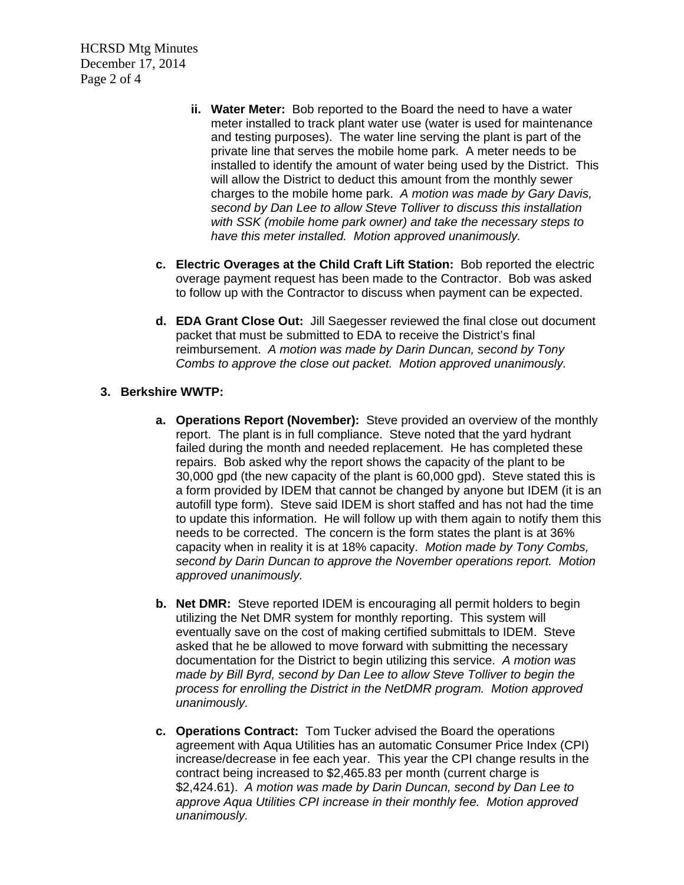HCRSD Mtg Minutes December 17, 2014 Page 2 of 4

- **ii. Water Meter:** Bob reported to the Board the need to have a water meter installed to track plant water use (water is used for maintenance and testing purposes). The water line serving the plant is part of the private line that serves the mobile home park. A meter needs to be installed to identify the amount of water being used by the District. This will allow the District to deduct this amount from the monthly sewer charges to the mobile home park. *A motion was made by Gary Davis, second by Dan Lee to allow Steve Tolliver to discuss this installation with SSK (mobile home park owner) and take the necessary steps to have this meter installed. Motion approved unanimously.*
- **c. Electric Overages at the Child Craft Lift Station:** Bob reported the electric overage payment request has been made to the Contractor. Bob was asked to follow up with the Contractor to discuss when payment can be expected.
- **d. EDA Grant Close Out:** Jill Saegesser reviewed the final close out document packet that must be submitted to EDA to receive the District's final reimbursement. *A motion was made by Darin Duncan, second by Tony Combs to approve the close out packet. Motion approved unanimously.*

## **3. Berkshire WWTP:**

- **a. Operations Report (November):** Steve provided an overview of the monthly report. The plant is in full compliance. Steve noted that the yard hydrant failed during the month and needed replacement. He has completed these repairs. Bob asked why the report shows the capacity of the plant to be 30,000 gpd (the new capacity of the plant is 60,000 gpd). Steve stated this is a form provided by IDEM that cannot be changed by anyone but IDEM (it is an autofill type form). Steve said IDEM is short staffed and has not had the time to update this information. He will follow up with them again to notify them this needs to be corrected. The concern is the form states the plant is at 36% capacity when in reality it is at 18% capacity. *Motion made by Tony Combs, second by Darin Duncan to approve the November operations report. Motion approved unanimously.*
- **b. Net DMR:** Steve reported IDEM is encouraging all permit holders to begin utilizing the Net DMR system for monthly reporting. This system will eventually save on the cost of making certified submittals to IDEM. Steve asked that he be allowed to move forward with submitting the necessary documentation for the District to begin utilizing this service. *A motion was made by Bill Byrd, second by Dan Lee to allow Steve Tolliver to begin the process for enrolling the District in the NetDMR program. Motion approved unanimously.*
- **c. Operations Contract:** Tom Tucker advised the Board the operations agreement with Aqua Utilities has an automatic Consumer Price Index (CPI) increase/decrease in fee each year. This year the CPI change results in the contract being increased to \$2,465.83 per month (current charge is \$2,424.61). *A motion was made by Darin Duncan, second by Dan Lee to approve Aqua Utilities CPI increase in their monthly fee. Motion approved unanimously.*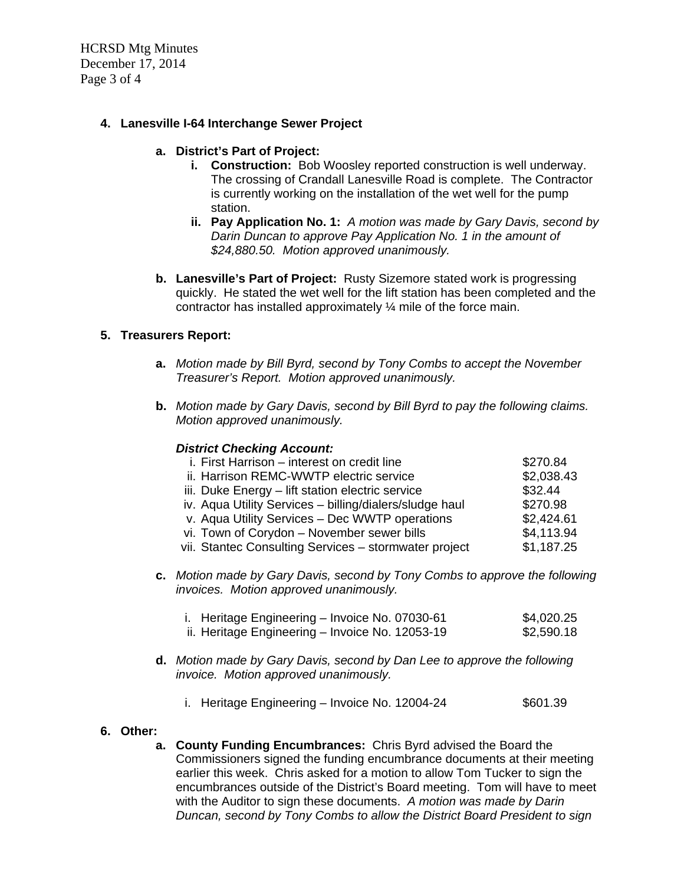HCRSD Mtg Minutes December 17, 2014 Page 3 of 4

## **4. Lanesville I-64 Interchange Sewer Project**

### **a. District's Part of Project:**

- **i. Construction:** Bob Woosley reported construction is well underway. The crossing of Crandall Lanesville Road is complete. The Contractor is currently working on the installation of the wet well for the pump station.
- **ii. Pay Application No. 1:** *A motion was made by Gary Davis, second by Darin Duncan to approve Pay Application No. 1 in the amount of \$24,880.50. Motion approved unanimously.*
- **b. Lanesville's Part of Project:** Rusty Sizemore stated work is progressing quickly. He stated the wet well for the lift station has been completed and the contractor has installed approximately ¼ mile of the force main.

### **5. Treasurers Report:**

- **a.** *Motion made by Bill Byrd, second by Tony Combs to accept the November Treasurer's Report. Motion approved unanimously.*
- **b.** *Motion made by Gary Davis, second by Bill Byrd to pay the following claims. Motion approved unanimously.*

### *District Checking Account:*

| i. First Harrison - interest on credit line             | \$270.84   |
|---------------------------------------------------------|------------|
| ii. Harrison REMC-WWTP electric service                 | \$2,038.43 |
| iii. Duke Energy - lift station electric service        | \$32.44    |
| iv. Aqua Utility Services - billing/dialers/sludge haul | \$270.98   |
| v. Aqua Utility Services - Dec WWTP operations          | \$2,424.61 |
| vi. Town of Corydon - November sewer bills              | \$4,113.94 |
| vii. Stantec Consulting Services - stormwater project   | \$1,187.25 |
|                                                         |            |

**c.** *Motion made by Gary Davis, second by Tony Combs to approve the following invoices. Motion approved unanimously.* 

| i. Heritage Engineering - Invoice No. 07030-61  | \$4,020.25 |
|-------------------------------------------------|------------|
| ii. Heritage Engineering - Invoice No. 12053-19 | \$2,590.18 |

- **d.** *Motion made by Gary Davis, second by Dan Lee to approve the following invoice. Motion approved unanimously.* 
	- i. Heritage Engineering Invoice No. 12004-24  $$601.39$

### **6. Other:**

**a. County Funding Encumbrances:** Chris Byrd advised the Board the Commissioners signed the funding encumbrance documents at their meeting earlier this week. Chris asked for a motion to allow Tom Tucker to sign the encumbrances outside of the District's Board meeting. Tom will have to meet with the Auditor to sign these documents. *A motion was made by Darin Duncan, second by Tony Combs to allow the District Board President to sign*